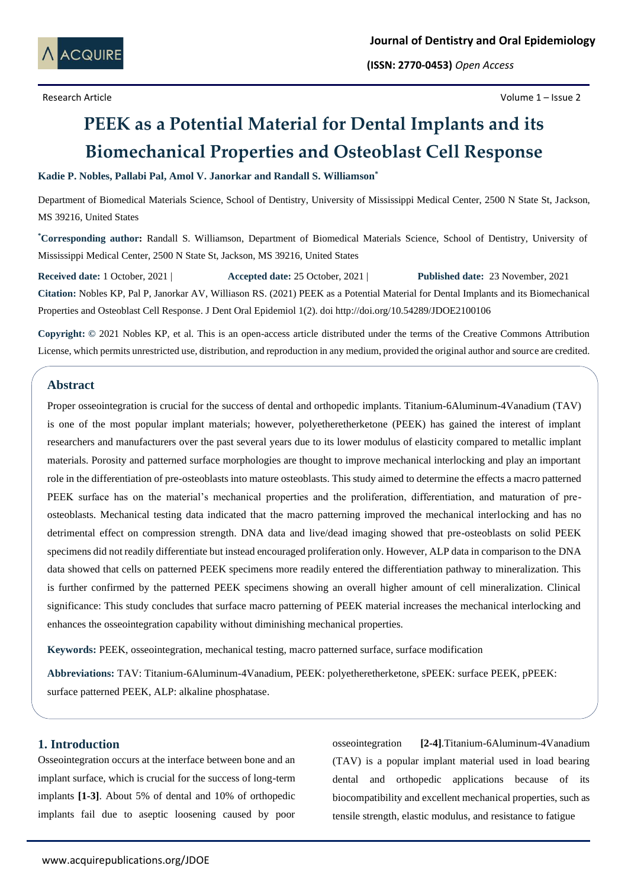

**(ISSN: 2770-0453)** *Open Access*

Research Article Volume 1 – Issue 2

# **PEEK as a Potential Material for Dental Implants and its Biomechanical Properties and Osteoblast Cell Response**

#### **Kadie P. Nobles, Pallabi Pal, Amol V. Janorkar and Randall S. Williamson\***

Department of Biomedical Materials Science, School of Dentistry, University of Mississippi Medical Center, 2500 N State St, Jackson, MS 39216, United States

**\*Corresponding author:** Randall S. Williamson, Department of Biomedical Materials Science, School of Dentistry, University of Mississippi Medical Center, 2500 N State St, Jackson, MS 39216, United States

**Received date:** 1 October, 2021 | **Accepted date:** 25 October, 2021 | **Published date:** 23 November, 2021 **Citation:** Nobles KP, Pal P, Janorkar AV, Williason RS. (2021) PEEK as a Potential Material for Dental Implants and its Biomechanical Properties and Osteoblast Cell Response. J Dent Oral Epidemiol 1(2). doi http://doi.org/10.54289/JDOE2100106

**Copyright: ©** 2021 Nobles KP, et al. This is an open-access article distributed under the terms of the Creative Commons Attribution License, which permits unrestricted use, distribution, and reproduction in any medium, provided the original author and source are credited.

# **Abstract**

Proper osseointegration is crucial for the success of dental and orthopedic implants. Titanium-6Aluminum-4Vanadium (TAV) is one of the most popular implant materials; however, polyetheretherketone (PEEK) has gained the interest of implant researchers and manufacturers over the past several years due to its lower modulus of elasticity compared to metallic implant materials. Porosity and patterned surface morphologies are thought to improve mechanical interlocking and play an important role in the differentiation of pre-osteoblasts into mature osteoblasts. This study aimed to determine the effects a macro patterned PEEK surface has on the material's mechanical properties and the proliferation, differentiation, and maturation of preosteoblasts. Mechanical testing data indicated that the macro patterning improved the mechanical interlocking and has no detrimental effect on compression strength. DNA data and live/dead imaging showed that pre-osteoblasts on solid PEEK specimens did not readily differentiate but instead encouraged proliferation only. However, ALP data in comparison to the DNA data showed that cells on patterned PEEK specimens more readily entered the differentiation pathway to mineralization. This is further confirmed by the patterned PEEK specimens showing an overall higher amount of cell mineralization. Clinical significance: This study concludes that surface macro patterning of PEEK material increases the mechanical interlocking and enhances the osseointegration capability without diminishing mechanical properties.

**Keywords:** PEEK, osseointegration, mechanical testing, macro patterned surface, surface modification

**Abbreviations:** TAV: Titanium-6Aluminum-4Vanadium, PEEK: polyetheretherketone, sPEEK: surface PEEK, pPEEK: surface patterned PEEK, ALP: alkaline phosphatase.

# **1. Introduction**

Osseointegration occurs at the interface between bone and an implant surface, which is crucial for the success of long-term implants **[1-3]**. About 5% of dental and 10% of orthopedic implants fail due to aseptic loosening caused by poor

osseointegration **[2-4]**.Titanium-6Aluminum-4Vanadium (TAV) is a popular implant material used in load bearing dental and orthopedic applications because of its biocompatibility and excellent mechanical properties, such as tensile strength, elastic modulus, and resistance to fatigue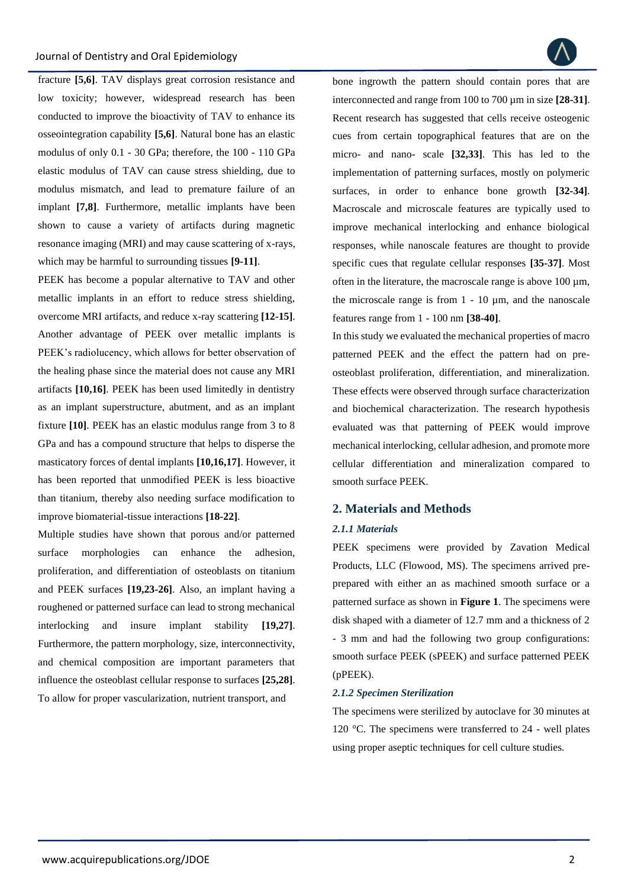

fracture **[5,6]**. TAV displays great corrosion resistance and low toxicity; however, widespread research has been conducted to improve the bioactivity of TAV to enhance its osseointegration capability **[5,6]**. Natural bone has an elastic modulus of only 0.1 - 30 GPa; therefore, the 100 - 110 GPa elastic modulus of TAV can cause stress shielding, due to modulus mismatch, and lead to premature failure of an implant **[7,8]**. Furthermore, metallic implants have been shown to cause a variety of artifacts during magnetic resonance imaging (MRI) and may cause scattering of x-rays, which may be harmful to surrounding tissues **[9-11]**.

PEEK has become a popular alternative to TAV and other metallic implants in an effort to reduce stress shielding, overcome MRI artifacts, and reduce x-ray scattering **[12-15]**. Another advantage of PEEK over metallic implants is PEEK's radiolucency, which allows for better observation of the healing phase since the material does not cause any MRI artifacts **[10,16]**. PEEK has been used limitedly in dentistry as an implant superstructure, abutment, and as an implant fixture **[10]**. PEEK has an elastic modulus range from 3 to 8 GPa and has a compound structure that helps to disperse the masticatory forces of dental implants **[10,16,17]**. However, it has been reported that unmodified PEEK is less bioactive than titanium, thereby also needing surface modification to improve biomaterial-tissue interactions **[18-22]**.

Multiple studies have shown that porous and/or patterned surface morphologies can enhance the adhesion, proliferation, and differentiation of osteoblasts on titanium and PEEK surfaces **[19,23-26]**. Also, an implant having a roughened or patterned surface can lead to strong mechanical interlocking and insure implant stability **[19,27]**. Furthermore, the pattern morphology, size, interconnectivity, and chemical composition are important parameters that influence the osteoblast cellular response to surfaces **[25,28]**. To allow for proper vascularization, nutrient transport, and

bone ingrowth the pattern should contain pores that are interconnected and range from 100 to 700 µm in size **[28-31]**. Recent research has suggested that cells receive osteogenic cues from certain topographical features that are on the micro- and nano- scale **[32,33]**. This has led to the implementation of patterning surfaces, mostly on polymeric surfaces, in order to enhance bone growth **[32-34]**. Macroscale and microscale features are typically used to improve mechanical interlocking and enhance biological responses, while nanoscale features are thought to provide specific cues that regulate cellular responses **[35-37]**. Most often in the literature, the macroscale range is above  $100 \mu m$ , the microscale range is from  $1 - 10 \mu m$ , and the nanoscale features range from 1 - 100 nm **[38-40]**.

In this study we evaluated the mechanical properties of macro patterned PEEK and the effect the pattern had on preosteoblast proliferation, differentiation, and mineralization. These effects were observed through surface characterization and biochemical characterization. The research hypothesis evaluated was that patterning of PEEK would improve mechanical interlocking, cellular adhesion, and promote more cellular differentiation and mineralization compared to smooth surface PEEK.

# **2. Materials and Methods**

#### *2.1.1 Materials*

PEEK specimens were provided by Zavation Medical Products, LLC (Flowood, MS). The specimens arrived preprepared with either an as machined smooth surface or a patterned surface as shown in **Figure 1**. The specimens were disk shaped with a diameter of 12.7 mm and a thickness of 2 - 3 mm and had the following two group configurations: smooth surface PEEK (sPEEK) and surface patterned PEEK (pPEEK).

#### *2.1.2 Specimen Sterilization*

The specimens were sterilized by autoclave for 30 minutes at 120 °C. The specimens were transferred to 24 - well plates using proper aseptic techniques for cell culture studies.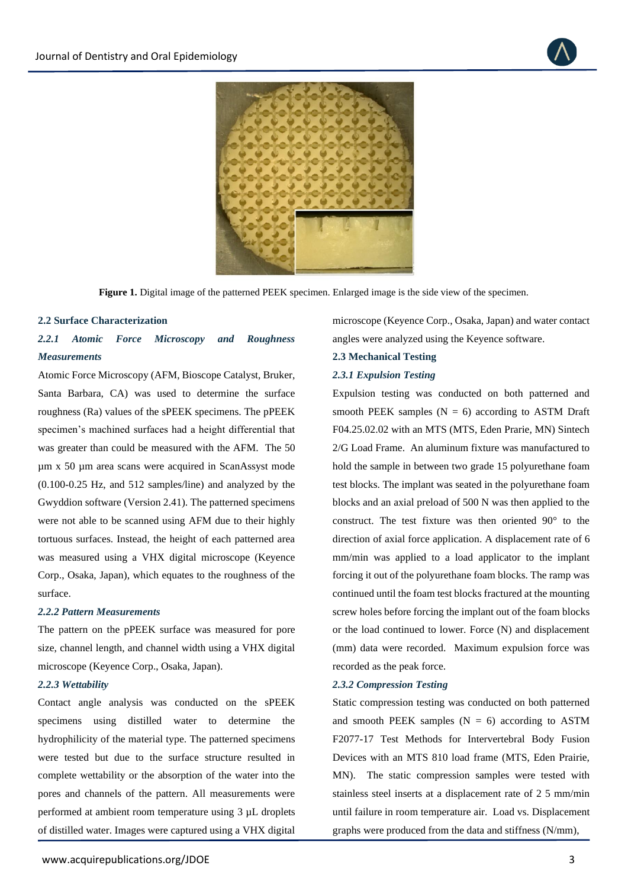



**Figure 1.** Digital image of the patterned PEEK specimen. Enlarged image is the side view of the specimen.

#### **2.2 Surface Characterization**

# *2.2.1 Atomic Force Microscopy and Roughness Measurements*

Atomic Force Microscopy (AFM, Bioscope Catalyst, Bruker, Santa Barbara, CA) was used to determine the surface roughness (Ra) values of the sPEEK specimens. The pPEEK specimen's machined surfaces had a height differential that was greater than could be measured with the AFM. The 50 µm x 50 µm area scans were acquired in ScanAssyst mode (0.100-0.25 Hz, and 512 samples/line) and analyzed by the Gwyddion software (Version 2.41). The patterned specimens were not able to be scanned using AFM due to their highly tortuous surfaces. Instead, the height of each patterned area was measured using a VHX digital microscope (Keyence Corp., Osaka, Japan), which equates to the roughness of the surface.

#### *2.2.2 Pattern Measurements*

The pattern on the pPEEK surface was measured for pore size, channel length, and channel width using a VHX digital microscope (Keyence Corp., Osaka, Japan).

# *2.2.3 Wettability*

Contact angle analysis was conducted on the sPEEK specimens using distilled water to determine the hydrophilicity of the material type. The patterned specimens were tested but due to the surface structure resulted in complete wettability or the absorption of the water into the pores and channels of the pattern. All measurements were performed at ambient room temperature using 3 µL droplets of distilled water. Images were captured using a VHX digital

microscope (Keyence Corp., Osaka, Japan) and water contact angles were analyzed using the Keyence software.

#### **2.3 Mechanical Testing**

# *2.3.1 Expulsion Testing*

Expulsion testing was conducted on both patterned and smooth PEEK samples  $(N = 6)$  according to ASTM Draft F04.25.02.02 with an MTS (MTS, Eden Prarie, MN) Sintech 2/G Load Frame. An aluminum fixture was manufactured to hold the sample in between two grade 15 polyurethane foam test blocks. The implant was seated in the polyurethane foam blocks and an axial preload of 500 N was then applied to the construct. The test fixture was then oriented 90° to the direction of axial force application. A displacement rate of 6 mm/min was applied to a load applicator to the implant forcing it out of the polyurethane foam blocks. The ramp was continued until the foam test blocks fractured at the mounting screw holes before forcing the implant out of the foam blocks or the load continued to lower. Force (N) and displacement (mm) data were recorded. Maximum expulsion force was recorded as the peak force.

# *2.3.2 Compression Testing*

Static compression testing was conducted on both patterned and smooth PEEK samples  $(N = 6)$  according to ASTM F2077-17 Test Methods for Intervertebral Body Fusion Devices with an MTS 810 load frame (MTS, Eden Prairie, MN). The static compression samples were tested with stainless steel inserts at a displacement rate of 2 5 mm/min until failure in room temperature air. Load vs. Displacement graphs were produced from the data and stiffness (N/mm),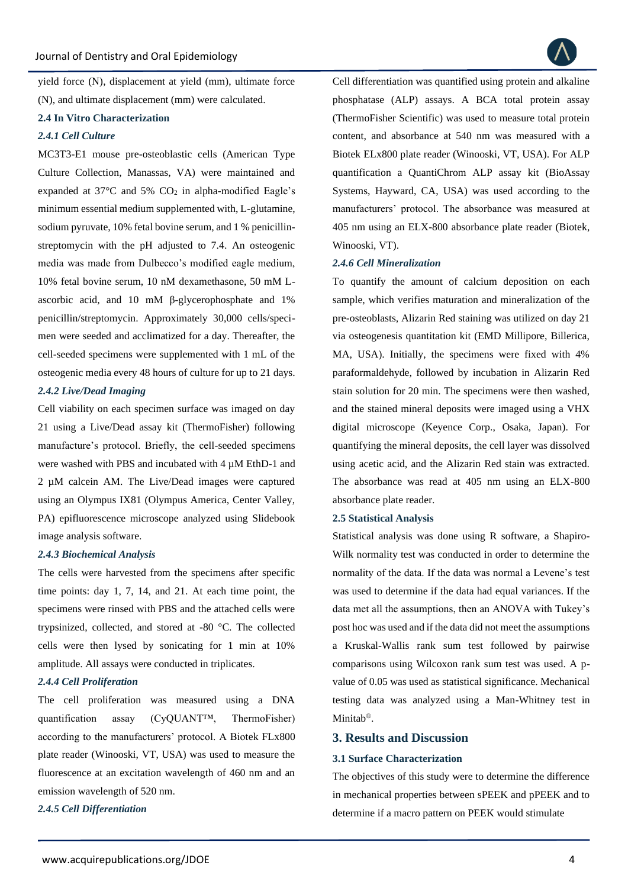yield force (N), displacement at yield (mm), ultimate force (N), and ultimate displacement (mm) were calculated.

#### **2.4 In Vitro Characterization**

# *2.4.1 Cell Culture*

MC3T3-E1 mouse pre-osteoblastic cells (American Type Culture Collection, Manassas, VA) were maintained and expanded at  $37^{\circ}$ C and  $5\%$  CO<sub>2</sub> in alpha-modified Eagle's minimum essential medium supplemented with, L-glutamine, sodium pyruvate, 10% fetal bovine serum, and 1 % penicillinstreptomycin with the pH adjusted to 7.4. An osteogenic media was made from Dulbecco's modified eagle medium, 10% fetal bovine serum, 10 nM dexamethasone, 50 mM Lascorbic acid, and 10 mM β-glycerophosphate and 1% penicillin/streptomycin. Approximately 30,000 cells/specimen were seeded and acclimatized for a day. Thereafter, the cell-seeded specimens were supplemented with 1 mL of the osteogenic media every 48 hours of culture for up to 21 days.

# *2.4.2 Live/Dead Imaging*

Cell viability on each specimen surface was imaged on day 21 using a Live/Dead assay kit (ThermoFisher) following manufacture's protocol. Briefly, the cell-seeded specimens were washed with PBS and incubated with 4  $\mu$ M EthD-1 and 2 µM calcein AM. The Live/Dead images were captured using an Olympus IX81 (Olympus America, Center Valley, PA) epifluorescence microscope analyzed using Slidebook image analysis software.

# *2.4.3 Biochemical Analysis*

The cells were harvested from the specimens after specific time points: day 1, 7, 14, and 21. At each time point, the specimens were rinsed with PBS and the attached cells were trypsinized, collected, and stored at -80 °C. The collected cells were then lysed by sonicating for 1 min at 10% amplitude. All assays were conducted in triplicates.

#### *2.4.4 Cell Proliferation*

The cell proliferation was measured using a DNA quantification assay (CyQUANT™, ThermoFisher) according to the manufacturers' protocol. A Biotek FLx800 plate reader (Winooski, VT, USA) was used to measure the fluorescence at an excitation wavelength of 460 nm and an emission wavelength of 520 nm.

*2.4.5 Cell Differentiation* 

Cell differentiation was quantified using protein and alkaline phosphatase (ALP) assays. A BCA total protein assay (ThermoFisher Scientific) was used to measure total protein content, and absorbance at 540 nm was measured with a Biotek ELx800 plate reader (Winooski, VT, USA). For ALP quantification a QuantiChrom ALP assay kit (BioAssay Systems, Hayward, CA, USA) was used according to the manufacturers' protocol. The absorbance was measured at 405 nm using an ELX-800 absorbance plate reader (Biotek, Winooski, VT).

# *2.4.6 Cell Mineralization*

To quantify the amount of calcium deposition on each sample, which verifies maturation and mineralization of the pre-osteoblasts, Alizarin Red staining was utilized on day 21 via osteogenesis quantitation kit (EMD Millipore, Billerica, MA, USA). Initially, the specimens were fixed with 4% paraformaldehyde, followed by incubation in Alizarin Red stain solution for 20 min. The specimens were then washed, and the stained mineral deposits were imaged using a VHX digital microscope (Keyence Corp., Osaka, Japan). For quantifying the mineral deposits, the cell layer was dissolved using acetic acid, and the Alizarin Red stain was extracted. The absorbance was read at 405 nm using an ELX-800 absorbance plate reader.

# **2.5 Statistical Analysis**

Statistical analysis was done using R software, a Shapiro-Wilk normality test was conducted in order to determine the normality of the data. If the data was normal a Levene's test was used to determine if the data had equal variances. If the data met all the assumptions, then an ANOVA with Tukey's post hoc was used and if the data did not meet the assumptions a Kruskal-Wallis rank sum test followed by pairwise comparisons using Wilcoxon rank sum test was used. A pvalue of 0.05 was used as statistical significance. Mechanical testing data was analyzed using a Man-Whitney test in Minitab<sup>®</sup>.

#### **3. Results and Discussion**

# **3.1 Surface Characterization**

The objectives of this study were to determine the difference in mechanical properties between sPEEK and pPEEK and to determine if a macro pattern on PEEK would stimulate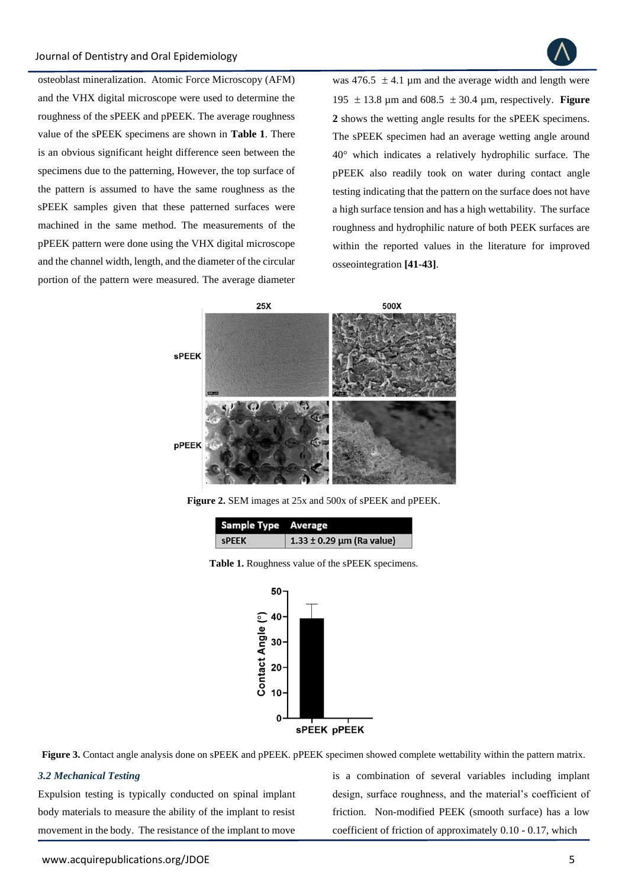

osteoblast mineralization. Atomic Force Microscopy (AFM) and the VHX digital microscope were used to determine the roughness of the sPEEK and pPEEK. The average roughness value of the sPEEK specimens are shown in **Table 1**. There is an obvious significant height difference seen between the specimens due to the patterning, However, the top surface of the pattern is assumed to have the same roughness as the sPEEK samples given that these patterned surfaces were machined in the same method. The measurements of the pPEEK pattern were done using the VHX digital microscope and the channel width, length, and the diameter of the circular portion of the pattern were measured. The average diameter

was 476.5  $\pm$  4.1 µm and the average width and length were 195  $\pm$  13.8 µm and 608.5  $\pm$  30.4 µm, respectively. **Figure 2** shows the wetting angle results for the sPEEK specimens. The sPEEK specimen had an average wetting angle around 40° which indicates a relatively hydrophilic surface. The pPEEK also readily took on water during contact angle testing indicating that the pattern on the surface does not have a high surface tension and has a high wettability. The surface roughness and hydrophilic nature of both PEEK surfaces are within the reported values in the literature for improved osseointegration **[41-43]**.



**Figure 2.** SEM images at 25x and 500x of sPEEK and pPEEK.

| Sample Type Average |                               |  |  |
|---------------------|-------------------------------|--|--|
| <b>SPEEK</b>        | $1.33 \pm 0.29$ µm (Ra value) |  |  |





**Figure 3.** Contact angle analysis done on sPEEK and pPEEK. pPEEK specimen showed complete wettability within the pattern matrix.

#### *3.2 Mechanical Testing*

Expulsion testing is typically conducted on spinal implant body materials to measure the ability of the implant to resist movement in the body. The resistance of the implant to move

is a combination of several variables including implant design, surface roughness, and the material's coefficient of friction. Non-modified PEEK (smooth surface) has a low coefficient of friction of approximately 0.10 - 0.17, which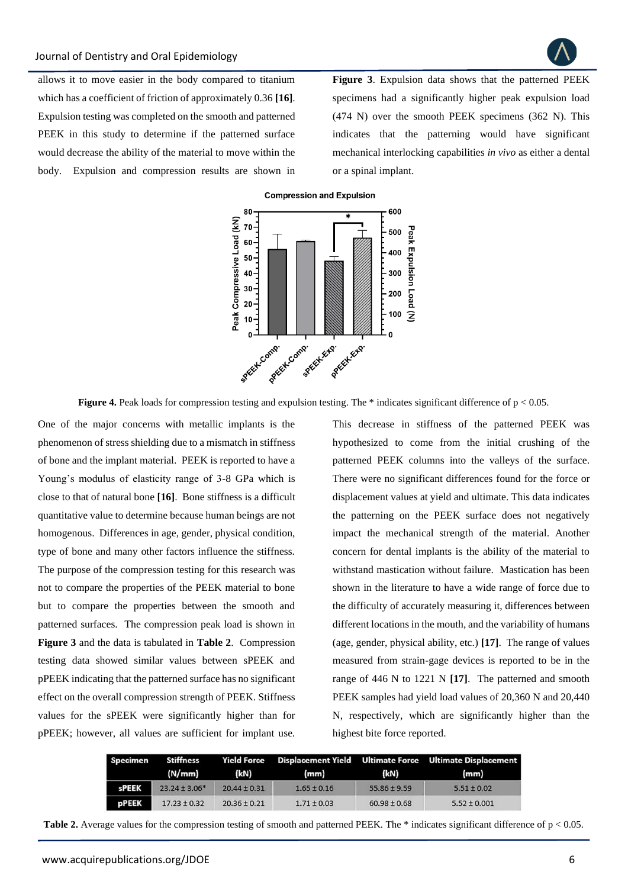

allows it to move easier in the body compared to titanium which has a coefficient of friction of approximately 0.36 **[16]**. Expulsion testing was completed on the smooth and patterned PEEK in this study to determine if the patterned surface would decrease the ability of the material to move within the body. Expulsion and compression results are shown in

**Figure 3**. Expulsion data shows that the patterned PEEK specimens had a significantly higher peak expulsion load (474 N) over the smooth PEEK specimens (362 N). This indicates that the patterning would have significant mechanical interlocking capabilities *in vivo* as either a dental or a spinal implant.





**Figure 4.** Peak loads for compression testing and expulsion testing. The \* indicates significant difference of  $p < 0.05$ .

One of the major concerns with metallic implants is the phenomenon of stress shielding due to a mismatch in stiffness of bone and the implant material. PEEK is reported to have a Young's modulus of elasticity range of 3-8 GPa which is close to that of natural bone **[16]**. Bone stiffness is a difficult quantitative value to determine because human beings are not homogenous. Differences in age, gender, physical condition, type of bone and many other factors influence the stiffness. The purpose of the compression testing for this research was not to compare the properties of the PEEK material to bone but to compare the properties between the smooth and patterned surfaces. The compression peak load is shown in **Figure 3** and the data is tabulated in **Table 2**. Compression testing data showed similar values between sPEEK and pPEEK indicating that the patterned surface has no significant effect on the overall compression strength of PEEK. Stiffness values for the sPEEK were significantly higher than for pPEEK; however, all values are sufficient for implant use. This decrease in stiffness of the patterned PEEK was hypothesized to come from the initial crushing of the patterned PEEK columns into the valleys of the surface. There were no significant differences found for the force or displacement values at yield and ultimate. This data indicates the patterning on the PEEK surface does not negatively impact the mechanical strength of the material. Another concern for dental implants is the ability of the material to withstand mastication without failure. Mastication has been shown in the literature to have a wide range of force due to the difficulty of accurately measuring it, differences between different locations in the mouth, and the variability of humans (age, gender, physical ability, etc.) **[17]**. The range of values measured from strain-gage devices is reported to be in the range of 446 N to 1221 N **[17]**. The patterned and smooth PEEK samples had yield load values of 20,360 N and 20,440 N, respectively, which are significantly higher than the highest bite force reported.

| Specimen     | <b>Stiffness</b>  |                  |                 |                  | Yield Force Displacement Yield Ultimate Force Ultimate Displacement |
|--------------|-------------------|------------------|-----------------|------------------|---------------------------------------------------------------------|
|              | (N/mm)            | (kN)             | (mm)            | (kN)             | (mm)                                                                |
| sPEEK        | $23.24 \pm 3.06*$ | $20.44 \pm 0.31$ | $1.65 \pm 0.16$ | $55.86 \pm 9.59$ | $5.51 \pm 0.02$                                                     |
| <b>pPEEK</b> | $17.23 \pm 0.32$  | $20.36 \pm 0.21$ | $1.71 \pm 0.03$ | $60.98 \pm 0.68$ | $5.52 \pm 0.001$                                                    |

**Table 2.** Average values for the compression testing of smooth and patterned PEEK. The \* indicates significant difference of  $p < 0.05$ .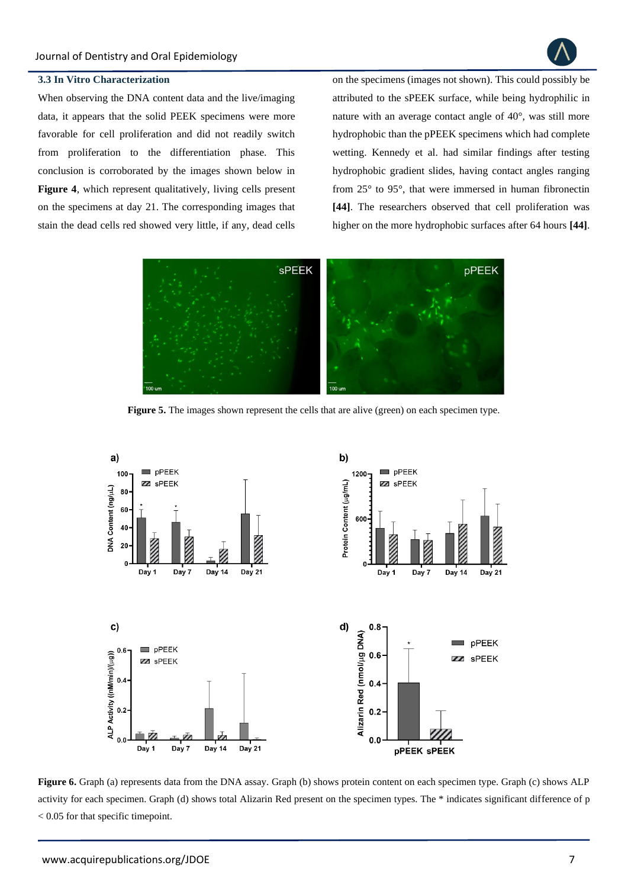

# **3.3 In Vitro Characterization**

When observing the DNA content data and the live/imaging data, it appears that the solid PEEK specimens were more favorable for cell proliferation and did not readily switch from proliferation to the differentiation phase. This conclusion is corroborated by the images shown below in **Figure 4**, which represent qualitatively, living cells present on the specimens at day 21. The corresponding images that stain the dead cells red showed very little, if any, dead cells

on the specimens (images not shown). This could possibly be attributed to the sPEEK surface, while being hydrophilic in nature with an average contact angle of 40°, was still more hydrophobic than the pPEEK specimens which had complete wetting. Kennedy et al. had similar findings after testing hydrophobic gradient slides, having contact angles ranging from 25° to 95°, that were immersed in human fibronectin **[44]**. The researchers observed that cell proliferation was higher on the more hydrophobic surfaces after 64 hours **[44]**.



**Figure 5.** The images shown represent the cells that are alive (green) on each specimen type.



**Figure 6.** Graph (a) represents data from the DNA assay. Graph (b) shows protein content on each specimen type. Graph (c) shows ALP activity for each specimen. Graph (d) shows total Alizarin Red present on the specimen types. The \* indicates significant difference of p < 0.05 for that specific timepoint.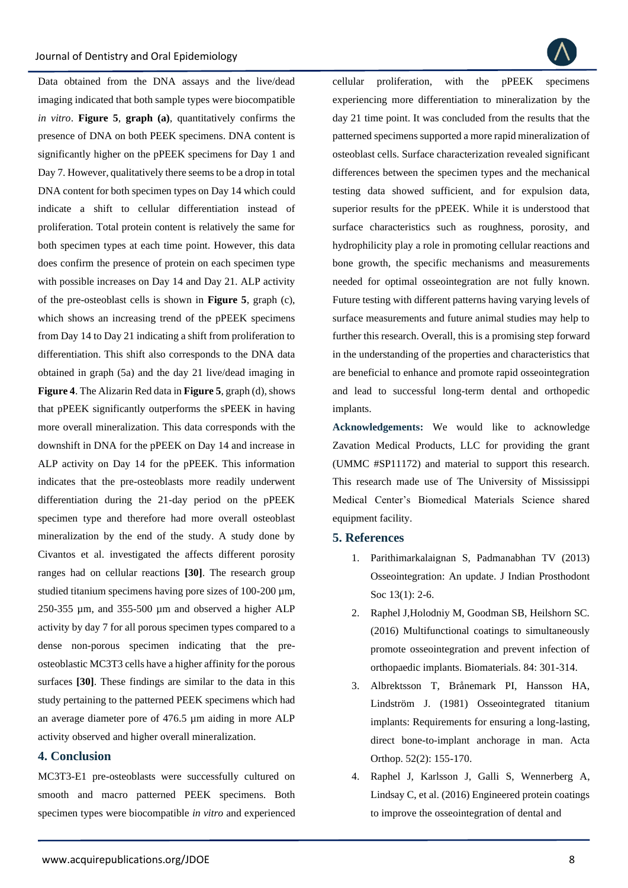Data obtained from the DNA assays and the live/dead imaging indicated that both sample types were biocompatible *in vitro*. **Figure 5**, **graph (a)**, quantitatively confirms the presence of DNA on both PEEK specimens. DNA content is significantly higher on the pPEEK specimens for Day 1 and Day 7. However, qualitatively there seems to be a drop in total DNA content for both specimen types on Day 14 which could indicate a shift to cellular differentiation instead of proliferation. Total protein content is relatively the same for both specimen types at each time point. However, this data does confirm the presence of protein on each specimen type with possible increases on Day 14 and Day 21. ALP activity of the pre-osteoblast cells is shown in **Figure 5**, graph (c), which shows an increasing trend of the pPEEK specimens from Day 14 to Day 21 indicating a shift from proliferation to differentiation. This shift also corresponds to the DNA data obtained in graph (5a) and the day 21 live/dead imaging in **Figure 4**. The Alizarin Red data in **Figure 5**, graph (d), shows that pPEEK significantly outperforms the sPEEK in having more overall mineralization. This data corresponds with the downshift in DNA for the pPEEK on Day 14 and increase in ALP activity on Day 14 for the pPEEK. This information indicates that the pre-osteoblasts more readily underwent differentiation during the 21-day period on the pPEEK specimen type and therefore had more overall osteoblast mineralization by the end of the study. A study done by Civantos et al. investigated the affects different porosity ranges had on cellular reactions **[30]**. The research group studied titanium specimens having pore sizes of 100-200  $\mu$ m, 250-355 µm, and 355-500 µm and observed a higher ALP activity by day 7 for all porous specimen types compared to a dense non-porous specimen indicating that the preosteoblastic MC3T3 cells have a higher affinity for the porous surfaces **[30]**. These findings are similar to the data in this study pertaining to the patterned PEEK specimens which had an average diameter pore of 476.5 µm aiding in more ALP activity observed and higher overall mineralization.

# **4. Conclusion**

MC3T3-E1 pre-osteoblasts were successfully cultured on smooth and macro patterned PEEK specimens. Both specimen types were biocompatible *in vitro* and experienced cellular proliferation, with the pPEEK specimens experiencing more differentiation to mineralization by the day 21 time point. It was concluded from the results that the patterned specimens supported a more rapid mineralization of osteoblast cells. Surface characterization revealed significant differences between the specimen types and the mechanical testing data showed sufficient, and for expulsion data, superior results for the pPEEK. While it is understood that surface characteristics such as roughness, porosity, and hydrophilicity play a role in promoting cellular reactions and bone growth, the specific mechanisms and measurements needed for optimal osseointegration are not fully known. Future testing with different patterns having varying levels of surface measurements and future animal studies may help to further this research. Overall, this is a promising step forward in the understanding of the properties and characteristics that are beneficial to enhance and promote rapid osseointegration and lead to successful long-term dental and orthopedic implants.

**Acknowledgements:** We would like to acknowledge Zavation Medical Products, LLC for providing the grant (UMMC #SP11172) and material to support this research. This research made use of The University of Mississippi Medical Center's Biomedical Materials Science shared equipment facility.

# **5. References**

- 1. [Parithimarkalaignan S, Padmanabhan TV \(2013\)](https://www.ncbi.nlm.nih.gov/pmc/articles/PMC3602536/)  [Osseointegration: An update. J Indian Prosthodont](https://www.ncbi.nlm.nih.gov/pmc/articles/PMC3602536/)  [Soc 13\(1\): 2-6.](https://www.ncbi.nlm.nih.gov/pmc/articles/PMC3602536/)
- 2. [Raphel J,Holodniy M, Goodman SB, Heilshorn SC.](https://pubmed.ncbi.nlm.nih.gov/26851394/)  [\(2016\) Multifunctional coatings to simultaneously](https://pubmed.ncbi.nlm.nih.gov/26851394/)  [promote osseointegration and prevent infection of](https://pubmed.ncbi.nlm.nih.gov/26851394/)  [orthopaedic implants. Biomaterials. 84: 301-314.](https://pubmed.ncbi.nlm.nih.gov/26851394/)
- 3. [Albrektsson T, Brånemark PI, Hansson HA,](https://pubmed.ncbi.nlm.nih.gov/7246093/)  [Lindström J. \(1981\) Osseointegrated titanium](https://pubmed.ncbi.nlm.nih.gov/7246093/)  [implants: Requirements for ensuring a long-lasting,](https://pubmed.ncbi.nlm.nih.gov/7246093/)  [direct bone-to-implant anchorage in man. Acta](https://pubmed.ncbi.nlm.nih.gov/7246093/)  [Orthop. 52\(2\): 155-170.](https://pubmed.ncbi.nlm.nih.gov/7246093/)
- 4. [Raphel J, Karlsson J, Galli S, Wennerberg A,](https://pubmed.ncbi.nlm.nih.gov/26790146/)  [Lindsay C, et al. \(2016\) Engineered protein coatings](https://pubmed.ncbi.nlm.nih.gov/26790146/)  [to improve the osseointegration of dental and](https://pubmed.ncbi.nlm.nih.gov/26790146/)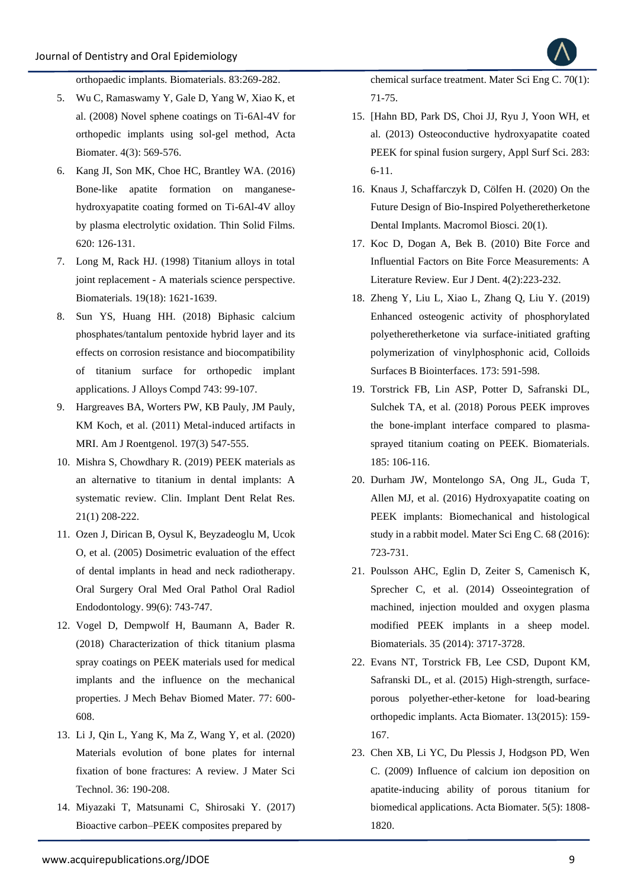

[orthopaedic implants. Biomaterials. 83:269-282.](https://pubmed.ncbi.nlm.nih.gov/26790146/)

- 5. [Wu C, Ramaswamy Y, Gale D, Yang W, Xiao K, et](https://www.researchgate.net/publication/5668730_Novel_sphene_coatings_on_Ti-6Al-4V_for_orthopedic_implants_using_sol-gel_method)  [al. \(2008\) Novel sphene coatings on Ti-6Al-4V for](https://www.researchgate.net/publication/5668730_Novel_sphene_coatings_on_Ti-6Al-4V_for_orthopedic_implants_using_sol-gel_method)  [orthopedic implants using sol-gel method, Acta](https://www.researchgate.net/publication/5668730_Novel_sphene_coatings_on_Ti-6Al-4V_for_orthopedic_implants_using_sol-gel_method)  [Biomater. 4\(3\): 569-576.](https://www.researchgate.net/publication/5668730_Novel_sphene_coatings_on_Ti-6Al-4V_for_orthopedic_implants_using_sol-gel_method)
- 6. [Kang JI, Son MK, Choe HC, Brantley WA. \(2016\)](https://www.researchgate.net/publication/308390533_Bone-like_Apatite_Formation_on_Manganese-hydroxyapatite_Coating_Formed_on_Ti-6Al-4V_Alloy_by_Plasma_Electrolytic_Oxidation)  [Bone-like apatite formation on manganese](https://www.researchgate.net/publication/308390533_Bone-like_Apatite_Formation_on_Manganese-hydroxyapatite_Coating_Formed_on_Ti-6Al-4V_Alloy_by_Plasma_Electrolytic_Oxidation)[hydroxyapatite coating formed on Ti-6Al-4V alloy](https://www.researchgate.net/publication/308390533_Bone-like_Apatite_Formation_on_Manganese-hydroxyapatite_Coating_Formed_on_Ti-6Al-4V_Alloy_by_Plasma_Electrolytic_Oxidation)  [by plasma electrolytic oxidation. Thin Solid Films.](https://www.researchgate.net/publication/308390533_Bone-like_Apatite_Formation_on_Manganese-hydroxyapatite_Coating_Formed_on_Ti-6Al-4V_Alloy_by_Plasma_Electrolytic_Oxidation)  [620: 126-131.](https://www.researchgate.net/publication/308390533_Bone-like_Apatite_Formation_on_Manganese-hydroxyapatite_Coating_Formed_on_Ti-6Al-4V_Alloy_by_Plasma_Electrolytic_Oxidation)
- 7. [Long M, Rack HJ. \(1998\) Titanium alloys in total](https://www.sciencedirect.com/science/article/abs/pii/S0142961297001464)  joint replacement - [A materials science perspective.](https://www.sciencedirect.com/science/article/abs/pii/S0142961297001464)  [Biomaterials. 19\(18\): 1621-1639.](https://www.sciencedirect.com/science/article/abs/pii/S0142961297001464)
- 8. [Sun YS, Huang HH. \(2018\) Biphasic calcium](https://www.sciencedirect.com/science/article/abs/pii/S0925838818303542)  [phosphates/tantalum pentoxide hybrid layer and its](https://www.sciencedirect.com/science/article/abs/pii/S0925838818303542)  [effects on corrosion resistance and biocompatibility](https://www.sciencedirect.com/science/article/abs/pii/S0925838818303542)  [of titanium surface for orthopedic implant](https://www.sciencedirect.com/science/article/abs/pii/S0925838818303542)  [applications. J Alloys Compd 743: 99-107.](https://www.sciencedirect.com/science/article/abs/pii/S0925838818303542)
- 9. [Hargreaves BA, Worters PW, KB Pauly, JM Pauly,](https://pubmed.ncbi.nlm.nih.gov/21862795/)  [KM Koch, et al. \(2011\) Metal-induced artifacts in](https://pubmed.ncbi.nlm.nih.gov/21862795/)  [MRI. Am J Roentgenol. 197\(3\) 547-555.](https://pubmed.ncbi.nlm.nih.gov/21862795/)
- 10. [Mishra S, Chowdhary R. \(2019\) PEEK materials as](https://pubmed.ncbi.nlm.nih.gov/30589497/)  [an alternative to titanium in dental implants: A](https://pubmed.ncbi.nlm.nih.gov/30589497/)  [systematic review. Clin. Implant Dent Relat Res.](https://pubmed.ncbi.nlm.nih.gov/30589497/)  [21\(1\) 208-222.](https://pubmed.ncbi.nlm.nih.gov/30589497/)
- 11. [Ozen J, Dirican B, Oysul K, Beyzadeoglu M, Ucok](https://pubmed.ncbi.nlm.nih.gov/15897862/)  [O, et al. \(2005\) Dosimetric evaluation of the effect](https://pubmed.ncbi.nlm.nih.gov/15897862/)  [of dental implants in head and neck radiotherapy.](https://pubmed.ncbi.nlm.nih.gov/15897862/)  [Oral Surgery Oral Med Oral Pathol Oral Radiol](https://pubmed.ncbi.nlm.nih.gov/15897862/)  [Endodontology. 99\(6\): 743-747.](https://pubmed.ncbi.nlm.nih.gov/15897862/)
- 12. [Vogel D, Dempwolf H, Baumann A, Bader R.](https://pubmed.ncbi.nlm.nih.gov/29096126/)  [\(2018\) Characterization of thick titanium plasma](https://pubmed.ncbi.nlm.nih.gov/29096126/)  [spray coatings on PEEK materials used for medical](https://pubmed.ncbi.nlm.nih.gov/29096126/)  [implants and the influence on the mechanical](https://pubmed.ncbi.nlm.nih.gov/29096126/)  [properties. J Mech Behav Biomed Mater. 77: 600-](https://pubmed.ncbi.nlm.nih.gov/29096126/) [608.](https://pubmed.ncbi.nlm.nih.gov/29096126/)
- 13. [Li J, Qin L, Yang K, Ma Z, Wang Y, et al. \(2020\)](https://www.sciencedirect.com/science/article/abs/pii/S1005030219302440)  [Materials evolution of bone plates for internal](https://www.sciencedirect.com/science/article/abs/pii/S1005030219302440)  [fixation of bone fractures: A review. J Mater Sci](https://www.sciencedirect.com/science/article/abs/pii/S1005030219302440)  [Technol. 36: 190-208.](https://www.sciencedirect.com/science/article/abs/pii/S1005030219302440)
- 14. [Miyazaki T, Matsunami C, Shirosaki Y. \(2017\)](https://www.sciencedirect.com/science/article/abs/pii/S0928493116309419)  [Bioactive carbon–PEEK composites prepared by](https://www.sciencedirect.com/science/article/abs/pii/S0928493116309419)

[chemical surface treatment. Mater Sci Eng C. 70\(1\):](https://www.sciencedirect.com/science/article/abs/pii/S0928493116309419)  [71-75.](https://www.sciencedirect.com/science/article/abs/pii/S0928493116309419)

- 15. [\[Hahn BD, Park DS, Choi JJ, Ryu J, Yoon](https://www.sciencedirect.com/science/article/abs/pii/S0169433213010003) WH, et [al. \(2013\) Osteoconductive hydroxyapatite coated](https://www.sciencedirect.com/science/article/abs/pii/S0169433213010003)  PEEK for spinal fusion surgery, Appl Surf Sci. 283: [6-11.](https://www.sciencedirect.com/science/article/abs/pii/S0169433213010003)
- 16. [Knaus J, Schaffarczyk D, Cölfen H. \(2020\) On the](https://onlinelibrary.wiley.com/doi/full/10.1002/mabi.201900239)  [Future Design of Bio-Inspired Polyetheretherketone](https://onlinelibrary.wiley.com/doi/full/10.1002/mabi.201900239)  [Dental Implants. Macromol Biosci. 20\(1\).](https://onlinelibrary.wiley.com/doi/full/10.1002/mabi.201900239)
- 17. Koc D, Dogan A, Bek [B. \(2010\) Bite Force and](https://www.ncbi.nlm.nih.gov/pmc/articles/PMC2853825/)  [Influential Factors on Bite Force Measurements: A](https://www.ncbi.nlm.nih.gov/pmc/articles/PMC2853825/)  [Literature Review. Eur J Dent. 4\(2\):223-232.](https://www.ncbi.nlm.nih.gov/pmc/articles/PMC2853825/)
- 18. [Zheng Y, Liu L, Xiao L, Zhang Q, Liu Y. \(2019\)](https://www.sciencedirect.com/science/article/abs/pii/S0927776518307276)  [Enhanced osteogenic activity of phosphorylated](https://www.sciencedirect.com/science/article/abs/pii/S0927776518307276)  [polyetheretherketone via surface-initiated grafting](https://www.sciencedirect.com/science/article/abs/pii/S0927776518307276)  [polymerization of vinylphosphonic acid, Colloids](https://www.sciencedirect.com/science/article/abs/pii/S0927776518307276)  [Surfaces B Biointerfaces. 173: 591-598.](https://www.sciencedirect.com/science/article/abs/pii/S0927776518307276)
- 19. [Torstrick FB, Lin ASP, Potter D, Safranski DL,](https://pubmed.ncbi.nlm.nih.gov/30236838/)  [Sulchek TA, et al. \(2018\) Porous PEEK improves](https://pubmed.ncbi.nlm.nih.gov/30236838/)  [the bone-implant interface compared to](https://pubmed.ncbi.nlm.nih.gov/30236838/) plasma[sprayed titanium coating on PEEK. Biomaterials.](https://pubmed.ncbi.nlm.nih.gov/30236838/)  [185: 106-116.](https://pubmed.ncbi.nlm.nih.gov/30236838/)
- 20. [Durham JW, Montelongo SA, Ong JL, Guda T,](https://www.sciencedirect.com/science/article/abs/pii/S0928493116306191)  [Allen MJ, et al. \(2016\) Hydroxyapatite coating on](https://www.sciencedirect.com/science/article/abs/pii/S0928493116306191)  [PEEK implants: Biomechanical and histological](https://www.sciencedirect.com/science/article/abs/pii/S0928493116306191)  [study in a rabbit model. Mater Sci Eng C. 68 \(2016\):](https://www.sciencedirect.com/science/article/abs/pii/S0928493116306191)  [723-731.](https://www.sciencedirect.com/science/article/abs/pii/S0928493116306191)
- 21. [Poulsson AHC, Eglin D, Zeiter S, Camenisch K,](https://pubmed.ncbi.nlm.nih.gov/24485795/)  [Sprecher C, et al. \(2014\) Osseointegration of](https://pubmed.ncbi.nlm.nih.gov/24485795/)  [machined, injection moulded and oxygen plasma](https://pubmed.ncbi.nlm.nih.gov/24485795/)  [modified PEEK implants in a sheep model.](https://pubmed.ncbi.nlm.nih.gov/24485795/)  [Biomaterials. 35 \(2014\): 3717-3728.](https://pubmed.ncbi.nlm.nih.gov/24485795/)
- 22. [Evans NT, Torstrick FB, Lee CSD, Dupont KM,](https://www.sciencedirect.com/science/article/abs/pii/S1742706114005248?via%3Dihub)  [Safranski DL, et al. \(2015\) High-strength, surface](https://www.sciencedirect.com/science/article/abs/pii/S1742706114005248?via%3Dihub)[porous polyether-ether-ketone for load-bearing](https://www.sciencedirect.com/science/article/abs/pii/S1742706114005248?via%3Dihub)  [orthopedic implants. Acta Biomater. 13\(2015\): 159-](https://www.sciencedirect.com/science/article/abs/pii/S1742706114005248?via%3Dihub) [167.](https://www.sciencedirect.com/science/article/abs/pii/S1742706114005248?via%3Dihub)
- 23. [Chen XB, Li YC, Du Plessis J, Hodgson PD, Wen](https://www.sciencedirect.com/science/article/abs/pii/S1742706109000191?via%3Dihub)  [C. \(2009\) Influence of calcium ion deposition on](https://www.sciencedirect.com/science/article/abs/pii/S1742706109000191?via%3Dihub)  [apatite-inducing ability of porous titanium for](https://www.sciencedirect.com/science/article/abs/pii/S1742706109000191?via%3Dihub)  [biomedical applications. Acta Biomater. 5\(5\): 1808-](https://www.sciencedirect.com/science/article/abs/pii/S1742706109000191?via%3Dihub) [1820.](https://www.sciencedirect.com/science/article/abs/pii/S1742706109000191?via%3Dihub)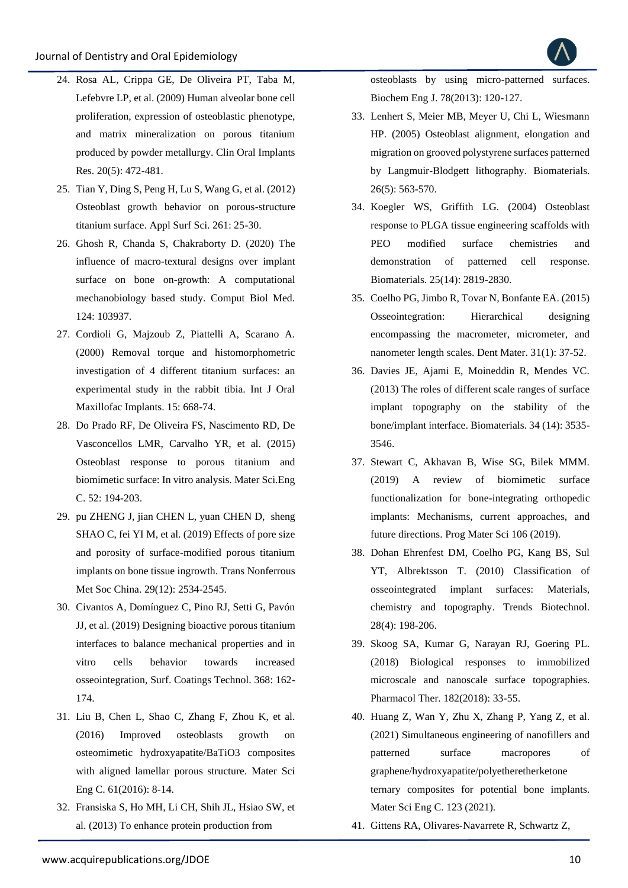- 24. [Rosa AL, Crippa GE, De Oliveira PT, Taba M,](https://pubmed.ncbi.nlm.nih.gov/19250245/)  [Lefebvre LP, et al. \(2009\) Human alveolar bone cell](https://pubmed.ncbi.nlm.nih.gov/19250245/)  [proliferation, expression of osteoblastic phenotype,](https://pubmed.ncbi.nlm.nih.gov/19250245/)  [and matrix mineralization on porous titanium](https://pubmed.ncbi.nlm.nih.gov/19250245/)  [produced by powder metallurgy. Clin Oral Implants](https://pubmed.ncbi.nlm.nih.gov/19250245/)  [Res. 20\(5\): 472-481.](https://pubmed.ncbi.nlm.nih.gov/19250245/)
- 25. [Tian Y, Ding S, Peng H, Lu S, Wang G, et al. \(2012\)](https://www.researchgate.net/publication/257031812_Osteoblast_growth_behavior_on_porous-structure_titanium_surface)  [Osteoblast growth behavior on porous-structure](https://www.researchgate.net/publication/257031812_Osteoblast_growth_behavior_on_porous-structure_titanium_surface)  [titanium surface. Appl Surf Sci. 261: 25-30.](https://www.researchgate.net/publication/257031812_Osteoblast_growth_behavior_on_porous-structure_titanium_surface)
- 26. [Ghosh R, Chanda S, Chakraborty D. \(2020\) The](https://pubmed.ncbi.nlm.nih.gov/32818741/)  [influence of macro-textural designs over implant](https://pubmed.ncbi.nlm.nih.gov/32818741/)  [surface on bone on-growth: A computational](https://pubmed.ncbi.nlm.nih.gov/32818741/)  [mechanobiology based study. Comput Biol Med.](https://pubmed.ncbi.nlm.nih.gov/32818741/)  [124: 103937.](https://pubmed.ncbi.nlm.nih.gov/32818741/)
- 27. [Cordioli G, Majzoub Z, Piattelli A, Scarano A.](http://medlib.yu.ac.kr/eur_j_oph/ijom/IJOMI/ijomi_15_668.pdf)  [\(2000\) Removal torque and histomorphometric](http://medlib.yu.ac.kr/eur_j_oph/ijom/IJOMI/ijomi_15_668.pdf)  [investigation of 4 different titanium surfaces: an](http://medlib.yu.ac.kr/eur_j_oph/ijom/IJOMI/ijomi_15_668.pdf)  [experimental study in the rabbit tibia. Int J Oral](http://medlib.yu.ac.kr/eur_j_oph/ijom/IJOMI/ijomi_15_668.pdf)  [Maxillofac Implants. 15: 668-74.](http://medlib.yu.ac.kr/eur_j_oph/ijom/IJOMI/ijomi_15_668.pdf)
- 28. [Do Prado RF, De Oliveira FS, Nascimento RD, De](https://pubmed.ncbi.nlm.nih.gov/25953558/)  [Vasconcellos LMR, Carvalho YR, et al. \(2015\)](https://pubmed.ncbi.nlm.nih.gov/25953558/)  [Osteoblast response to porous titanium and](https://pubmed.ncbi.nlm.nih.gov/25953558/)  [biomimetic surface: In vitro analysis. Mater Sci.Eng](https://pubmed.ncbi.nlm.nih.gov/25953558/)  [C. 52: 194-203.](https://pubmed.ncbi.nlm.nih.gov/25953558/)
- 29. [pu ZHENG J, jian CHEN L, yuan](https://www.sciencedirect.com/science/article/abs/pii/S1003632619651617) CHEN D, sheng [SHAO C, fei YI M, et al. \(2019\) Effects of pore size](https://www.sciencedirect.com/science/article/abs/pii/S1003632619651617)  [and porosity of surface-modified porous titanium](https://www.sciencedirect.com/science/article/abs/pii/S1003632619651617)  [implants on bone tissue ingrowth. Trans Nonferrous](https://www.sciencedirect.com/science/article/abs/pii/S1003632619651617)  [Met Soc China. 29\(12\): 2534-2545.](https://www.sciencedirect.com/science/article/abs/pii/S1003632619651617)
- 30. [Civantos A, Domínguez C, Pino RJ, Setti G, Pavón](https://www.researchgate.net/publication/331524570_Designing_bioactive_porous_titanium_interfaces_to_balance_mechanical_properties_and_in_vitro_cells_behavior_towards_increased_osseointegration)  [JJ, et al. \(2019\) Designing bioactive porous titanium](https://www.researchgate.net/publication/331524570_Designing_bioactive_porous_titanium_interfaces_to_balance_mechanical_properties_and_in_vitro_cells_behavior_towards_increased_osseointegration)  [interfaces to balance mechanical properties and in](https://www.researchgate.net/publication/331524570_Designing_bioactive_porous_titanium_interfaces_to_balance_mechanical_properties_and_in_vitro_cells_behavior_towards_increased_osseointegration)  [vitro cells behavior towards increased](https://www.researchgate.net/publication/331524570_Designing_bioactive_porous_titanium_interfaces_to_balance_mechanical_properties_and_in_vitro_cells_behavior_towards_increased_osseointegration)  [osseointegration, Surf. Coatings Technol. 368: 162-](https://www.researchgate.net/publication/331524570_Designing_bioactive_porous_titanium_interfaces_to_balance_mechanical_properties_and_in_vitro_cells_behavior_towards_increased_osseointegration) [174.](https://www.researchgate.net/publication/331524570_Designing_bioactive_porous_titanium_interfaces_to_balance_mechanical_properties_and_in_vitro_cells_behavior_towards_increased_osseointegration)
- 31. Liu B, [Chen L, Shao C, Zhang F, Zhou K, et al.](https://www.sciencedirect.com/science/article/abs/pii/S0928493115306202?via%3Dihub)  [\(2016\) Improved osteoblasts growth on](https://www.sciencedirect.com/science/article/abs/pii/S0928493115306202?via%3Dihub)  [osteomimetic hydroxyapatite/BaTiO3 composites](https://www.sciencedirect.com/science/article/abs/pii/S0928493115306202?via%3Dihub)  [with aligned lamellar porous structure. Mater Sci](https://www.sciencedirect.com/science/article/abs/pii/S0928493115306202?via%3Dihub)  [Eng C. 61\(2016\): 8-14.](https://www.sciencedirect.com/science/article/abs/pii/S0928493115306202?via%3Dihub)
- 32. [Fransiska S, Ho MH, Li CH, Shih JL, Hsiao SW, et](https://www.sciencedirect.com/science/article/abs/pii/S1369703X13001381?via%3Dihub)  [al. \(2013\) To enhance protein production from](https://www.sciencedirect.com/science/article/abs/pii/S1369703X13001381?via%3Dihub)

[osteoblasts by using micro-patterned surfaces.](https://www.sciencedirect.com/science/article/abs/pii/S1369703X13001381?via%3Dihub)  [Biochem Eng J. 78\(2013\): 120-127.](https://www.sciencedirect.com/science/article/abs/pii/S1369703X13001381?via%3Dihub)

- 33. [Lenhert S, Meier MB, Meyer U, Chi L, Wiesmann](https://www.sciencedirect.com/science/article/abs/pii/S0142961204002315?via%3Dihub)  [HP. \(2005\) Osteoblast alignment, elongation and](https://www.sciencedirect.com/science/article/abs/pii/S0142961204002315?via%3Dihub)  [migration on grooved polystyrene surfaces patterned](https://www.sciencedirect.com/science/article/abs/pii/S0142961204002315?via%3Dihub)  [by Langmuir-Blodgett lithography. Biomaterials.](https://www.sciencedirect.com/science/article/abs/pii/S0142961204002315?via%3Dihub)  [26\(5\): 563-570.](https://www.sciencedirect.com/science/article/abs/pii/S0142961204002315?via%3Dihub)
- 34. [Koegler WS, Griffith LG. \(2004\) Osteoblast](https://pubmed.ncbi.nlm.nih.gov/14962560/)  [response to PLGA tissue engineering scaffolds with](https://pubmed.ncbi.nlm.nih.gov/14962560/)  [PEO modified surface chemistries and](https://pubmed.ncbi.nlm.nih.gov/14962560/)  [demonstration of patterned cell response.](https://pubmed.ncbi.nlm.nih.gov/14962560/)  [Biomaterials. 25\(14\): 2819-2830.](https://pubmed.ncbi.nlm.nih.gov/14962560/)
- 35. [Coelho PG, Jimbo R, Tovar N, Bonfante EA. \(2015\)](https://www.sciencedirect.com/science/article/abs/pii/S010956411400640X?via%3Dihub)  [Osseointegration: Hierarchical designing](https://www.sciencedirect.com/science/article/abs/pii/S010956411400640X?via%3Dihub)  [encompassing the macrometer, micrometer, and](https://www.sciencedirect.com/science/article/abs/pii/S010956411400640X?via%3Dihub)  [nanometer length scales. Dent Mater. 31\(1\): 37-52.](https://www.sciencedirect.com/science/article/abs/pii/S010956411400640X?via%3Dihub)
- 36. [Davies JE, Ajami E, Moineddin R, Mendes VC.](https://www.sciencedirect.com/science/article/abs/pii/S0142961213000409?via%3Dihub)  [\(2013\) The roles of different scale ranges of surface](https://www.sciencedirect.com/science/article/abs/pii/S0142961213000409?via%3Dihub)  [implant topography on the stability of the](https://www.sciencedirect.com/science/article/abs/pii/S0142961213000409?via%3Dihub)  [bone/implant interface. Biomaterials. 34 \(14\): 3535-](https://www.sciencedirect.com/science/article/abs/pii/S0142961213000409?via%3Dihub) [3546.](https://www.sciencedirect.com/science/article/abs/pii/S0142961213000409?via%3Dihub)
- 37. [Stewart C, Akhavan B, Wise SG, Bilek MMM.](https://www.sciencedirect.com/science/article/pii/S0079642519300702?via%3Dihub)  [\(2019\) A review of biomimetic surface](https://www.sciencedirect.com/science/article/pii/S0079642519300702?via%3Dihub)  [functionalization for bone-integrating orthopedic](https://www.sciencedirect.com/science/article/pii/S0079642519300702?via%3Dihub)  [implants: Mechanisms, current approaches, and](https://www.sciencedirect.com/science/article/pii/S0079642519300702?via%3Dihub)  [future directions. Prog Mater Sci 106 \(2019\).](https://www.sciencedirect.com/science/article/pii/S0079642519300702?via%3Dihub)
- 38. [Dohan Ehrenfest DM, Coelho PG, Kang BS, Sul](https://www.cell.com/trends/biotechnology/fulltext/S0167-7799(09)00235-2?_returnURL=https%3A%2F%2Flinkinghub.elsevier.com%2Fretrieve%2Fpii%2FS0167779909002352%3Fshowall%3Dtrue)  [YT, Albrektsson T. \(2010\) Classification of](https://www.cell.com/trends/biotechnology/fulltext/S0167-7799(09)00235-2?_returnURL=https%3A%2F%2Flinkinghub.elsevier.com%2Fretrieve%2Fpii%2FS0167779909002352%3Fshowall%3Dtrue)  [osseointegrated implant surfaces: Materials,](https://www.cell.com/trends/biotechnology/fulltext/S0167-7799(09)00235-2?_returnURL=https%3A%2F%2Flinkinghub.elsevier.com%2Fretrieve%2Fpii%2FS0167779909002352%3Fshowall%3Dtrue)  [chemistry and topography. Trends Biotechnol.](https://www.cell.com/trends/biotechnology/fulltext/S0167-7799(09)00235-2?_returnURL=https%3A%2F%2Flinkinghub.elsevier.com%2Fretrieve%2Fpii%2FS0167779909002352%3Fshowall%3Dtrue)  [28\(4\): 198-206.](https://www.cell.com/trends/biotechnology/fulltext/S0167-7799(09)00235-2?_returnURL=https%3A%2F%2Flinkinghub.elsevier.com%2Fretrieve%2Fpii%2FS0167779909002352%3Fshowall%3Dtrue)
- 39. [Skoog SA, Kumar G, Narayan RJ, Goering PL.](https://www.sciencedirect.com/science/article/abs/pii/S0163725817301894?via%3Dihub)  [\(2018\) Biological responses to immobilized](https://www.sciencedirect.com/science/article/abs/pii/S0163725817301894?via%3Dihub)  [microscale and nanoscale surface topographies.](https://www.sciencedirect.com/science/article/abs/pii/S0163725817301894?via%3Dihub)  [Pharmacol Ther. 182\(2018\): 33-55.](https://www.sciencedirect.com/science/article/abs/pii/S0163725817301894?via%3Dihub)
- 40. [Huang Z, Wan Y, Zhu X, Zhang P, Yang Z, et al.](https://www.sciencedirect.com/science/article/abs/pii/S0928493121001065?via%3Dihub)  [\(2021\) Simultaneous engineering of nanofillers and](https://www.sciencedirect.com/science/article/abs/pii/S0928493121001065?via%3Dihub)  [patterned surface macropores of](https://www.sciencedirect.com/science/article/abs/pii/S0928493121001065?via%3Dihub)  [graphene/hydroxyapatite/polyetheretherketone](https://www.sciencedirect.com/science/article/abs/pii/S0928493121001065?via%3Dihub)  [ternary composites for potential bone implants.](https://www.sciencedirect.com/science/article/abs/pii/S0928493121001065?via%3Dihub)  [Mater Sci Eng C. 123 \(2021\).](https://www.sciencedirect.com/science/article/abs/pii/S0928493121001065?via%3Dihub)
- 41. [Gittens RA, Olivares-Navarrete R, Schwartz Z,](https://www.sciencedirect.com/science/article/abs/pii/S1742706114001573?via%3Dihub)